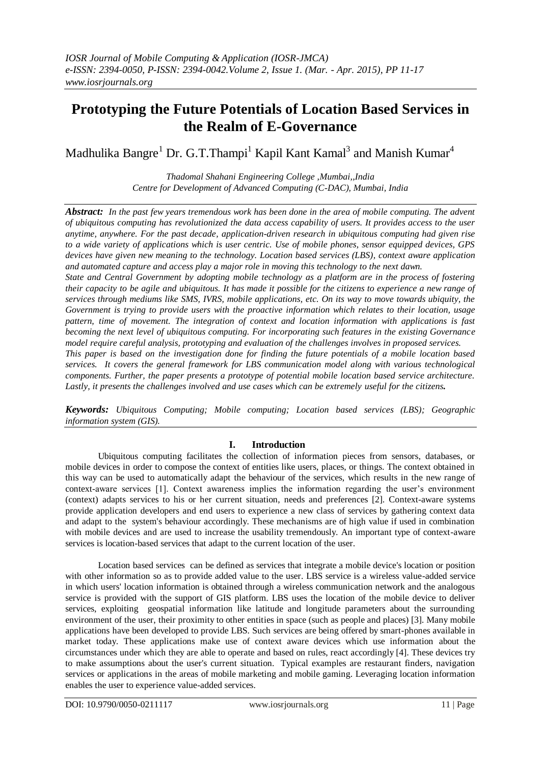# **Prototyping the Future Potentials of Location Based Services in the Realm of E-Governance**

Madhulika Bangre<sup>1</sup> Dr. G.T.Thampi<sup>1</sup> Kapil Kant Kamal<sup>3</sup> and Manish Kumar<sup>4</sup>

*Thadomal Shahani Engineering College ,Mumbai,,India Centre for Development of Advanced Computing (C-DAC), Mumbai, India*

*Abstract: In the past few years tremendous work has been done in the area of mobile computing. The advent of ubiquitous computing has revolutionized the data access capability of users. It provides access to the user anytime, anywhere. For the past decade, application-driven research in ubiquitous computing had given rise to a wide variety of applications which is user centric. Use of mobile phones, sensor equipped devices, GPS devices have given new meaning to the technology. Location based services (LBS), context aware application and automated capture and access play a major role in moving this technology to the next dawn.*

*State and Central Government by adopting mobile technology as a platform are in the process of fostering their capacity to be agile and ubiquitous. It has made it possible for the citizens to experience a new range of services through mediums like SMS, IVRS, mobile applications, etc. On its way to move towards ubiquity, the Government is trying to provide users with the proactive information which relates to their location, usage pattern, time of movement. The integration of context and location information with applications is fast becoming the next level of ubiquitous computing. For incorporating such features in the existing Governance model require careful analysis, prototyping and evaluation of the challenges involves in proposed services. This paper is based on the investigation done for finding the future potentials of a mobile location based services. It covers the general framework for LBS communication model along with various technological components. Further, the paper presents a prototype of potential mobile location based service architecture. Lastly, it presents the challenges involved and use cases which can be extremely useful for the citizens.* 

*Keywords: Ubiquitous Computing; Mobile computing; Location based services (LBS); Geographic information system (GIS).*

## **I. Introduction**

Ubiquitous computing facilitates the collection of information pieces from sensors, databases, or mobile devices in order to compose the context of entities like users, places, or things. The context obtained in this way can be used to automatically adapt the behaviour of the services, which results in the new range of context-aware services [1]. Context awareness implies the information regarding the user's environment (context) adapts services to his or her current situation, needs and preferences [2]. Context-aware systems provide application developers and end users to experience a new class of services by gathering context data and adapt to the system's behaviour accordingly. These mechanisms are of high value if used in combination with mobile devices and are used to increase the usability tremendously. An important type of context-aware services is location-based services that adapt to the current location of the user.

Location based services can be defined as services that integrate a mobile device's location or position with other information so as to provide added value to the user. LBS service is a wireless value-added service in which users' location information is obtained through a wireless communication network and the analogous service is provided with the support of GIS platform. LBS uses the location of the mobile device to deliver services, exploiting geospatial information like latitude and longitude parameters about the surrounding environment of the user, their proximity to other entities in space (such as people and places) [3]. Many mobile applications have been developed to provide LBS. Such services are being offered by smart-phones available in market today. These applications make use of context aware devices which use information about the circumstances under which they are able to operate and based on rules, react accordingly [4]. These devices try to make assumptions about the user's current situation. Typical examples are restaurant finders, navigation services or applications in the areas of mobile marketing and mobile gaming. Leveraging location information enables the user to experience value-added services.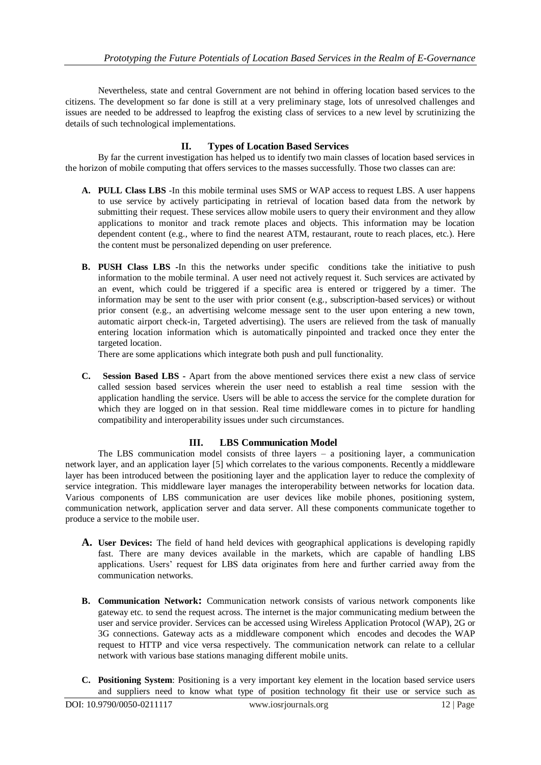Nevertheless, state and central Government are not behind in offering location based services to the citizens. The development so far done is still at a very preliminary stage, lots of unresolved challenges and issues are needed to be addressed to leapfrog the existing class of services to a new level by scrutinizing the details of such technological implementations.

# **II. Types of Location Based Services**

By far the current investigation has helped us to identify two main classes of location based services in the horizon of mobile computing that offers services to the masses successfully. Those two classes can are:

- **A. PULL Class LBS** -In this mobile terminal uses SMS or WAP access to request LBS. A user happens to use service by actively participating in retrieval of location based data from the network by submitting their request. These services allow mobile users to query their environment and they allow applications to monitor and track remote places and objects. This information may be location dependent content (e.g., where to find the nearest ATM, restaurant, route to reach places, etc.). Here the content must be personalized depending on user preference.
- **B. PUSH Class LBS -**In this the networks under specific conditions take the initiative to push information to the mobile terminal. A user need not actively request it. Such services are activated by an event, which could be triggered if a specific area is entered or triggered by a timer. The information may be sent to the user with prior consent (e.g., subscription-based services) or without prior consent (e.g., an advertising welcome message sent to the user upon entering a new town, automatic airport check-in, Targeted advertising). The users are relieved from the task of manually entering location information which is automatically pinpointed and tracked once they enter the targeted location.

There are some applications which integrate both push and pull functionality.

**C. Session Based LBS -** Apart from the above mentioned services there exist a new class of service called session based services wherein the user need to establish a real time session with the application handling the service. Users will be able to access the service for the complete duration for which they are logged on in that session. Real time middleware comes in to picture for handling compatibility and interoperability issues under such circumstances.

## **III. LBS Communication Model**

The LBS communication model consists of three layers – a positioning layer, a communication network layer, and an application layer [5] which correlates to the various components. Recently a middleware layer has been introduced between the positioning layer and the application layer to reduce the complexity of service integration. This middleware layer manages the interoperability between networks for location data. Various components of LBS communication are user devices like mobile phones, positioning system, communication network, application server and data server. All these components communicate together to produce a service to the mobile user.

- **A. User Devices:** The field of hand held devices with geographical applications is developing rapidly fast. There are many devices available in the markets, which are capable of handling LBS applications. Users' request for LBS data originates from here and further carried away from the communication networks.
- **B. Communication Network:** Communication network consists of various network components like gateway etc. to send the request across. The internet is the major communicating medium between the user and service provider. Services can be accessed using Wireless Application Protocol (WAP), 2G or 3G connections. Gateway acts as a middleware component which encodes and decodes the WAP request to HTTP and vice versa respectively. The communication network can relate to a cellular network with various base stations managing different mobile units.
- **C. Positioning System**: Positioning is a very important key element in the location based service users and suppliers need to know what type of position technology fit their use or service such as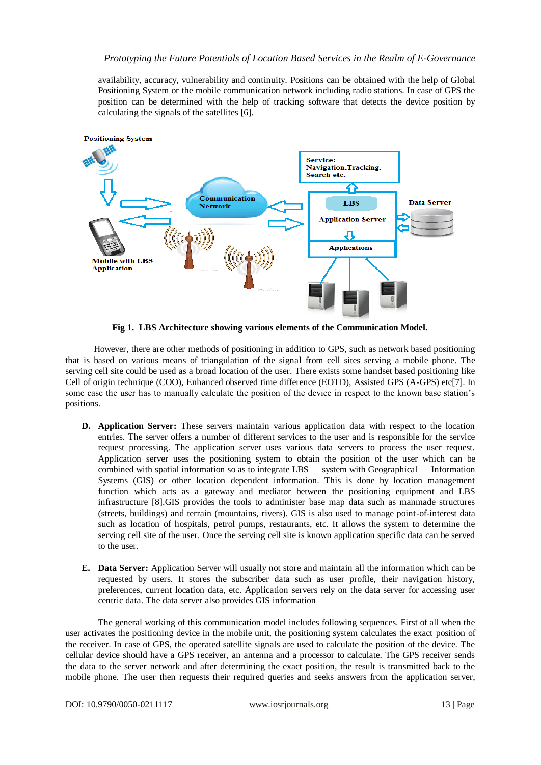availability, accuracy, vulnerability and continuity. Positions can be obtained with the help of Global Positioning System or the mobile communication network including radio stations. In case of GPS the position can be determined with the help of tracking software that detects the device position by calculating the signals of the satellites [6].



**Fig 1. LBS Architecture showing various elements of the Communication Model.**

However, there are other methods of positioning in addition to GPS, such as network based positioning that is based on various means of triangulation of the signal from cell sites serving a mobile phone. The serving cell site could be used as a broad location of the user. There exists some handset based positioning like Cell of origin technique (COO), Enhanced observed time difference (EOTD), Assisted GPS (A-GPS) etc[7]. In some case the user has to manually calculate the position of the device in respect to the known base station's positions.

- **D. Application Server:** These servers maintain various application data with respect to the location entries. The server offers a number of different services to the user and is responsible for the service request processing. The application server uses various data servers to process the user request. Application server uses the positioning system to obtain the position of the user which can be combined with spatial information so as to integrate LBS system with Geographical Information Systems (GIS) or other location dependent information. This is done by location management function which acts as a gateway and mediator between the positioning equipment and LBS infrastructure [8].GIS provides the tools to administer base map data such as manmade structures (streets, buildings) and terrain (mountains, rivers). GIS is also used to manage point-of-interest data such as location of hospitals, petrol pumps, restaurants, etc. It allows the system to determine the serving cell site of the user. Once the serving cell site is known application specific data can be served to the user.
- **E. Data Server:** Application Server will usually not store and maintain all the information which can be requested by users. It stores the subscriber data such as user profile, their navigation history, preferences, current location data, etc. Application servers rely on the data server for accessing user centric data. The data server also provides GIS information

The general working of this communication model includes following sequences. First of all when the user activates the positioning device in the mobile unit, the positioning system calculates the exact position of the receiver. In case of GPS, the operated satellite signals are used to calculate the position of the device. The cellular device should have a GPS receiver, an antenna and a processor to calculate. The GPS receiver sends the data to the server network and after determining the exact position, the result is transmitted back to the mobile phone. The user then requests their required queries and seeks answers from the application server,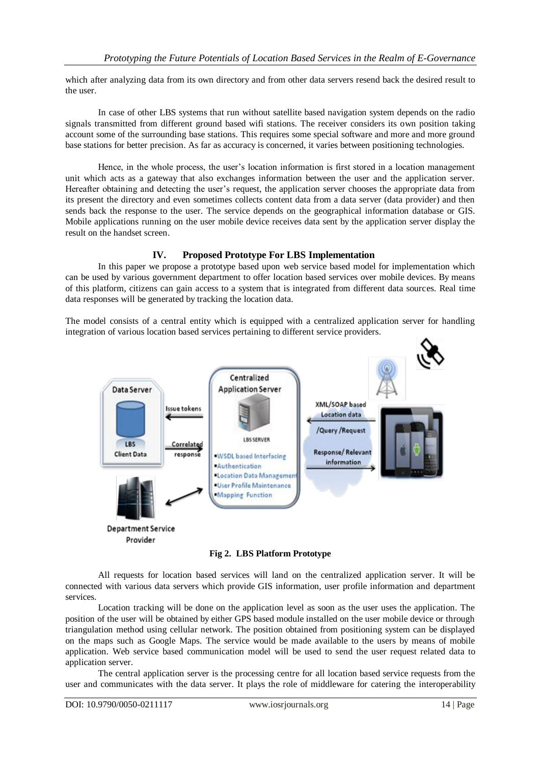which after analyzing data from its own directory and from other data servers resend back the desired result to the user.

In case of other LBS systems that run without satellite based navigation system depends on the radio signals transmitted from different ground based wifi stations. The receiver considers its own position taking account some of the surrounding base stations. This requires some special software and more and more ground base stations for better precision. As far as accuracy is concerned, it varies between positioning technologies.

Hence, in the whole process, the user's location information is first stored in a location management unit which acts as a gateway that also exchanges information between the user and the application server. Hereafter obtaining and detecting the user's request, the application server chooses the appropriate data from its present the directory and even sometimes collects content data from a data server (data provider) and then sends back the response to the user. The service depends on the geographical information database or GIS. Mobile applications running on the user mobile device receives data sent by the application server display the result on the handset screen.

## **IV. Proposed Prototype For LBS Implementation**

In this paper we propose a prototype based upon web service based model for implementation which can be used by various government department to offer location based services over mobile devices. By means of this platform, citizens can gain access to a system that is integrated from different data sources. Real time data responses will be generated by tracking the location data.

The model consists of a central entity which is equipped with a centralized application server for handling integration of various location based services pertaining to different service providers.



**Fig 2. LBS Platform Prototype**

All requests for location based services will land on the centralized application server. It will be connected with various data servers which provide GIS information, user profile information and department services.

Location tracking will be done on the application level as soon as the user uses the application. The position of the user will be obtained by either GPS based module installed on the user mobile device or through triangulation method using cellular network. The position obtained from positioning system can be displayed on the maps such as Google Maps. The service would be made available to the users by means of mobile application. Web service based communication model will be used to send the user request related data to application server.

The central application server is the processing centre for all location based service requests from the user and communicates with the data server. It plays the role of middleware for catering the interoperability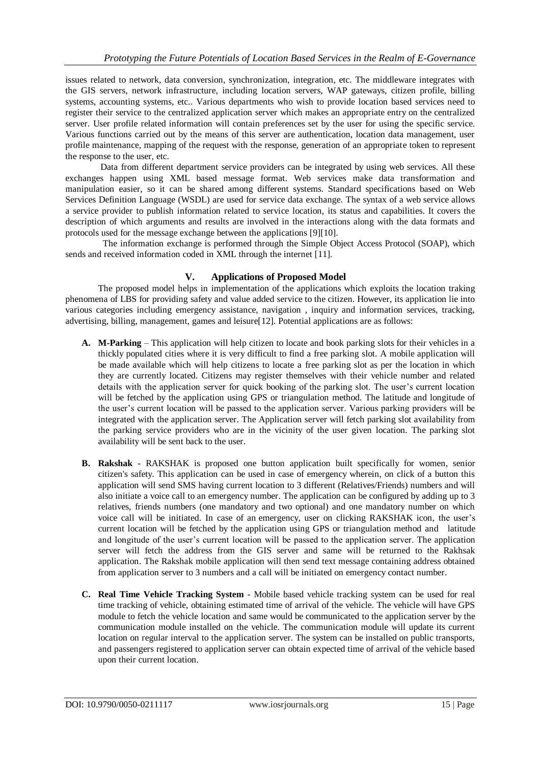issues related to network, data conversion, synchronization, integration, etc. The middleware integrates with the GIS servers, network infrastructure, including location servers, WAP gateways, citizen profile, billing systems, accounting systems, etc.. Various departments who wish to provide location based services need to register their service to the centralized application server which makes an appropriate entry on the centralized server. User profile related information will contain preferences set by the user for using the specific service. Various functions carried out by the means of this server are authentication, location data management, user profile maintenance, mapping of the request with the response, generation of an appropriate token to represent the response to the user, etc.

Data from different department service providers can be integrated by using web services. All these exchanges happen using XML based message format. Web services make data transformation and manipulation easier, so it can be shared among different systems. Standard specifications based on Web Services Definition Language (WSDL) are used for service data exchange. The syntax of a web service allows a service provider to publish information related to service location, its status and capabilities. It covers the description of which arguments and results are involved in the interactions along with the data formats and protocols used for the message exchange between the applications [9][10].

 The information exchange is performed through the Simple Object Access Protocol (SOAP), which sends and received information coded in XML through the internet [11].

# **V. Applications of Proposed Model**

The proposed model helps in implementation of the applications which exploits the location traking phenomena of LBS for providing safety and value added service to the citizen. However, its application lie into various categories including emergency assistance, navigation , inquiry and information services, tracking, advertising, billing, management, games and leisure[12]. Potential applications are as follows:

- **A. M-Parking** This application will help citizen to locate and book parking slots for their vehicles in a thickly populated cities where it is very difficult to find a free parking slot. A mobile application will be made available which will help citizens to locate a free parking slot as per the location in which they are currently located. Citizens may register themselves with their vehicle number and related details with the application server for quick booking of the parking slot. The user's current location will be fetched by the application using GPS or triangulation method. The latitude and longitude of the user's current location will be passed to the application server. Various parking providers will be integrated with the application server. The Application server will fetch parking slot availability from the parking service providers who are in the vicinity of the user given location. The parking slot availability will be sent back to the user.
- **B. Rakshak** RAKSHAK is proposed one button application built specifically for women, senior citizen's safety. This application can be used in case of emergency wherein, on click of a button this application will send SMS having current location to 3 different (Relatives/Friends) numbers and will also initiate a voice call to an emergency number. The application can be configured by adding up to 3 relatives, friends numbers (one mandatory and two optional) and one mandatory number on which voice call will be initiated. In case of an emergency, user on clicking RAKSHAK icon, the user's current location will be fetched by the application using GPS or triangulation method and latitude and longitude of the user's current location will be passed to the application server. The application server will fetch the address from the GIS server and same will be returned to the Rakhsak application. The Rakshak mobile application will then send text message containing address obtained from application server to 3 numbers and a call will be initiated on emergency contact number.
- **C. Real Time Vehicle Tracking System** Mobile based vehicle tracking system can be used for real time tracking of vehicle, obtaining estimated time of arrival of the vehicle. The vehicle will have GPS module to fetch the vehicle location and same would be communicated to the application server by the communication module installed on the vehicle. The communication module will update its current location on regular interval to the application server. The system can be installed on public transports, and passengers registered to application server can obtain expected time of arrival of the vehicle based upon their current location.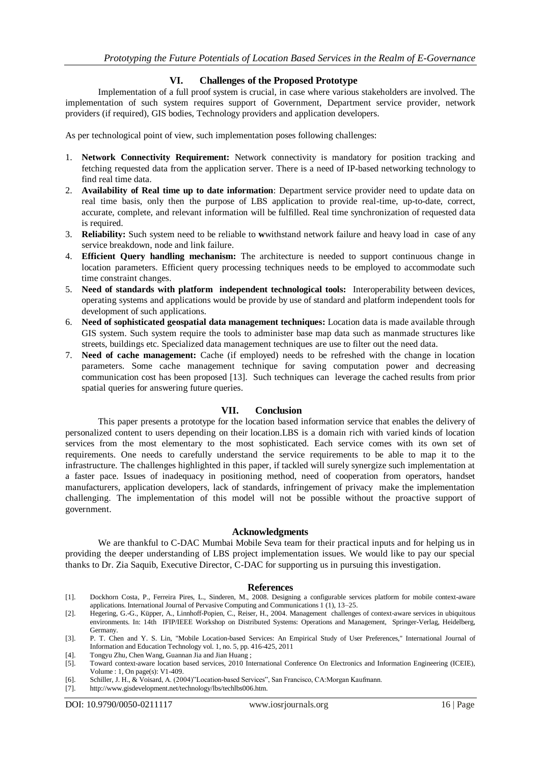## **VI. Challenges of the Proposed Prototype**

Implementation of a full proof system is crucial, in case where various stakeholders are involved. The implementation of such system requires support of Government, Department service provider, network providers (if required), GIS bodies, Technology providers and application developers.

As per technological point of view, such implementation poses following challenges:

- 1. **Network Connectivity Requirement:** Network connectivity is mandatory for position tracking and fetching requested data from the application server. There is a need of IP-based networking technology to find real time data.
- 2. **Availability of Real time up to date information**: Department service provider need to update data on real time basis, only then the purpose of LBS application to provide real-time, up-to-date, correct, accurate, complete, and relevant information will be fulfilled. Real time synchronization of requested data is required.
- 3. **Reliability:** Such system need to be reliable to **w**withstand network failure and heavy load in case of any service breakdown, node and link failure.
- 4. **Efficient Query handling mechanism:** The architecture is needed to support continuous change in location parameters. Efficient query processing techniques needs to be employed to accommodate such time constraint changes.
- 5. **Need of standards with platform independent technological tools:** Interoperability between devices, operating systems and applications would be provide by use of standard and platform independent tools for development of such applications.
- 6. **Need of sophisticated geospatial data management techniques:** Location data is made available through GIS system. Such system require the tools to administer base map data such as manmade structures like streets, buildings etc. Specialized data management techniques are use to filter out the need data.
- 7. **Need of cache management:** Cache (if employed) needs to be refreshed with the change in location parameters. Some cache management technique for saving computation power and decreasing communication cost has been proposed [13]. Such techniques can leverage the cached results from prior spatial queries for answering future queries.

## **VII. Conclusion**

This paper presents a prototype for the location based information service that enables the delivery of personalized content to users depending on their location.LBS is a domain rich with varied kinds of location services from the most elementary to the most sophisticated. Each service comes with its own set of requirements. One needs to carefully understand the service requirements to be able to map it to the infrastructure. The challenges highlighted in this paper, if tackled will surely synergize such implementation at a faster pace. Issues of inadequacy in positioning method, need of cooperation from operators, handset manufacturers, application developers, lack of standards, infringement of privacy make the implementation challenging. The implementation of this model will not be possible without the proactive support of government.

#### **Acknowledgments**

We are thankful to C-DAC Mumbai Mobile Seva team for their practical inputs and for helping us in providing the deeper understanding of LBS project implementation issues. We would like to pay our special thanks to Dr. Zia Saquib, Executive Director, C-DAC for supporting us in pursuing this investigation.

#### **References**

- [1]. Dockhorn Costa, P., Ferreira Pires, L., Sinderen, M., 2008. Designing a configurable services platform for mobile context-aware applications. International Journal of Pervasive Computing and Communications 1 (1), 13–25.
- [2]. Hegering, G.-G., Küpper, A., Linnhoff-Popien, C., Reiser, H., 2004. Management challenges of context-aware services in ubiquitous environments. In: 14th IFIP/IEEE Workshop on Distributed Systems: Operations and Management, Springer-Verlag, Heidelberg, Germany.
- [3]. P. T. Chen and Y. S. Lin, "Mobile Location-based Services: An Empirical Study of User Preferences," International Journal of Information and Education Technology vol. 1, no. 5, pp. 416-425, 2011
- [4]. Tongyu Zhu, Chen Wang, Guannan Jia and Jian Huang ;
- [5]. Toward context-aware location based services, 2010 International Conference On Electronics and Information Engineering (ICEIE), Volume : 1, On page(s): V1-409.
- [6]. Schiller, J. H., & Voisard, A. (2004)"Location-based Services", San Francisco, CA:Morgan Kaufmann.
- [7]. [http://www.gisdevelopment.net/technology/lbs/techlbs006.htm.](http://www.gisdevelopment.net/technology/lbs/techlbs006.htm)